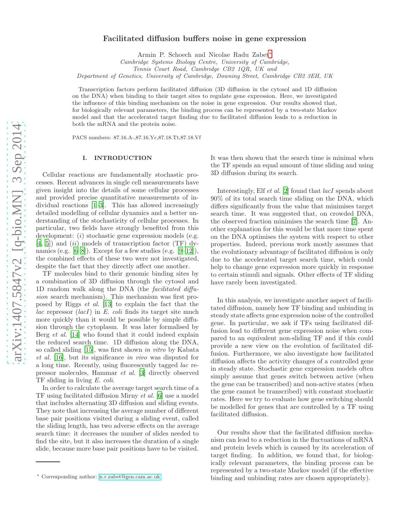# Facilitated diffusion buffers noise in gene expression

Armin P. Schoech and Nicolae Radu Zabet[∗](#page-0-0)

Cambridge Systems Biology Centre, University of Cambridge,

Tennis Court Road, Cambridge CB2 1QR, UK and

Department of Genetics, University of Cambridge, Downing Street, Cambridge CB2 3EH, UK

Transcription factors perform facilitated diffusion (3D diffusion in the cytosol and 1D diffusion on the DNA) when binding to their target sites to regulate gene expression. Here, we investigated the influence of this binding mechanism on the noise in gene expression. Our results showed that, for biologically relevant parameters, the binding process can be represented by a two-state Markov model and that the accelerated target finding due to facilitated diffusion leads to a reduction in both the mRNA and the protein noise.

PACS numbers: 87.16.A-,87.16.Yc,87.18.Tt,87.18.Vf

### I. INTRODUCTION

Cellular reactions are fundamentally stochastic processes. Recent advances in single cell measurements have given insight into the details of some cellular processes and provided precise quantitative measurements of individual reactions [\[1](#page-10-0)[–3\]](#page-10-1). This has allowed increasingly detailed modelling of cellular dynamics and a better understanding of the stochasticity of cellular processes. In particular, two fields have strongly benefited from this development: *(i)* stochastic gene expression models (e.g.  $[4, 5]$  $[4, 5]$  and  $(ii)$  models of transcription factor (TF) dynamics (e.g.  $[6-8]$ ). Except for a few studies (e.g.  $[9-12]$ ), the combined effects of these two were not investigated, despite the fact that they directly affect one another.

TF molecules bind to their genomic binding sites by a combination of 3D diffusion through the cytosol and 1D random walk along the DNA (the facilitated diffusion search mechanism). This mechanism was first proposed by Riggs et al. [\[13](#page-10-8)] to explain the fact that the *lac* repressor  $(lacI)$  in E. coli finds its target site much more quickly than it would be possible by simple diffusion through the cytoplasm. It was later formalised by Berg *et al.* [\[14\]](#page-10-9) who found that it could indeed explain the reduced search time. 1D diffusion along the DNA, so called sliding [\[15\]](#page-10-10), was first shown in vitro by Kabata et al. [\[16\]](#page-10-11), but its significance in vivo was disputed for a long time. Recently, using fluorescently tagged lac repressor molecules, Hammar et al. [\[3\]](#page-10-1) directly observed TF sliding in living E. coli.

In order to calculate the average target search time of a TF using facilitated diffusion Mirny et al. [\[6\]](#page-10-4) use a model that includes alternating 3D diffusion and sliding events. They note that increasing the average number of different base pair positions visited during a sliding event, called the sliding length, has two adverse effects on the average search time: it decreases the number of slides needed to find the site, but it also increases the duration of a single slide, because more base pair positions have to be visited.

It was then shown that the search time is minimal when the TF spends an equal amount of time sliding and using 3D diffusion during its search.

Interestingly, Elf *et al.* [\[2\]](#page-10-12) found that *lacI* spends about 90% of its total search time sliding on the DNA, which differs significantly from the value that minimises target search time. It was suggested that, on crowded DNA, the observed fraction minimises the search time [\[7\]](#page-10-13). Another explanation for this would be that more time spent on the DNA optimises the system with respect to other properties. Indeed, previous work mostly assumes that the evolutionary advantage of facilitated diffusion is only due to the accelerated target search time, which could help to change gene expression more quickly in response to certain stimuli and signals. Other effects of TF sliding have rarely been investigated.

In this analysis, we investigate another aspect of facilitated diffusion, namely how TF binding and unbinding in steady state affects gene expression noise of the controlled gene. In particular, we ask if TFs using facilitated diffusion lead to different gene expression noise when compared to an equivalent non-sliding TF and if this could provide a new view on the evolution of facilitated diffusion. Furthermore, we also investigate how facilitated diffusion affects the activity changes of a controlled gene in steady state. Stochastic gene expression models often simply assume that genes switch between active (when the gene can be transcribed) and non-active states (when the gene cannot be transcribed) with constant stochastic rates. Here we try to evaluate how gene switching should be modelled for genes that are controlled by a TF using facilitated diffusion.

Our results show that the facilitated diffusion mechanism can lead to a reduction in the fluctuations of mRNA and protein levels which is caused by its acceleration of target finding. In addition, we found that, for biologically relevant parameters, the binding process can be represented by a two-state Markov model (if the effective binding and unbinding rates are chosen appropriately).

<span id="page-0-0"></span><sup>∗</sup> Corresponding author: [n.r.zabet@gen.cam.ac.uk](mailto:n.r.zabet@gen.cam.ac.uk)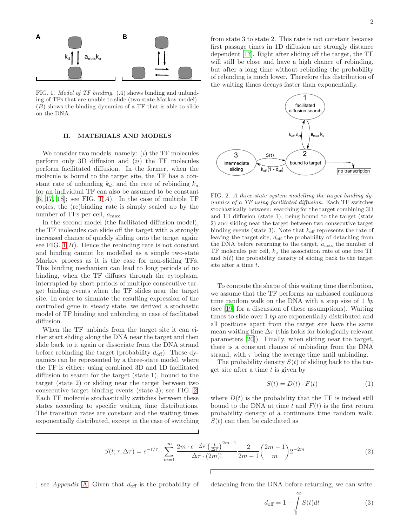

<span id="page-1-0"></span>FIG. 1. Model of TF binding. (A) shows binding and unbinding of TFs that are unable to slide (two-state Markov model). (B) shows the binding dynamics of a TF that is able to slide on the DNA.

### II. MATERIALS AND MODELS

We consider two models, namely:  $(i)$  the TF molecules perform only 3D diffusion and  $(ii)$  the TF molecules perform facilitated diffusion. In the former, when the molecule is bound to the target site, the TF has a constant rate of unbinding  $k_d$ , and the rate of rebinding  $k_a$ for an individual TF can also be assumed to be constant [\[6,](#page-10-4) [17,](#page-10-14) [18\]](#page-10-15); see FIG.  $1(A)$ . In the case of multiple TF copies, the (re)binding rate is simply scaled up by the number of TFs per cell,  $a_{\text{max}}$ .

In the second model (the facilitated diffusion model), the TF molecules can slide off the target with a strongly increased chance of quickly sliding onto the target again; see FIG.  $1(B)$ . Hence the rebinding rate is not constant and binding cannot be modelled as a simple two-state Markov process as it is the case for non-sliding TFs. This binding mechanism can lead to long periods of no binding, when the TF diffuses through the cytoplasm, interrupted by short periods of multiple consecutive target binding events when the TF slides near the target site. In order to simulate the resulting expression of the controlled gene in steady state, we derived a stochastic model of TF binding and unbinding in case of facilitated diffusion.

When the TF unbinds from the target site it can either start sliding along the DNA near the target and then slide back to it again or dissociate from the DNA strand before rebinding the target (probability  $d_{\text{off}}$ ). These dynamics can be represented by a three-state model, where the TF is either: using combined 3D and 1D facilitated diffusion to search for the target (state 1), bound to the target (state 2) or sliding near the target between two consecutive target binding events (state 3); see FIG. [2.](#page-1-1) Each TF molecule stochastically switches between these states according to specific waiting time distributions. The transition rates are constant and the waiting times exponentially distributed, except in the case of switching

from state 3 to state 2. This rate is not constant because first passage times in 1D diffusion are strongly distance dependent [\[17\]](#page-10-14). Right after sliding off the target, the TF will still be close and have a high chance of rebinding, but after a long time without rebinding the probability of rebinding is much lower. Therefore this distribution of the waiting times decays faster than exponentially.



<span id="page-1-1"></span>FIG. 2. A three-state system modelling the target binding dynamics of a TF using facilitated diffusion. Each TF switches stochastically between: searching for the target combining 3D and 1D diffusion (state 1), being bound to the target (state 2) and sliding near the target between two consecutive target binding events (state 3). Note that  $k_{\text{off}}$  represents the rate of leaving the target site,  $d_{\text{off}}$  the probability of detaching from the DNA before returning to the target,  $a_{\text{max}}$  the number of TF molecules per cell,  $k_a$  the association rate of one free TF and  $S(t)$  the probability density of sliding back to the target site after a time t.

To compute the shape of this waiting time distribution, we assume that the TF performs an unbiased continuous time random walk on the DNA with a step size of 1 bp (see [\[19\]](#page-10-16) for a discussion of these assumptions). Waiting times to slide over 1 bp are exponentially distributed and all positions apart from the target site have the same mean waiting time  $\Delta \tau$  (this holds for biologically relevant parameters [\[20\]](#page-10-17)). Finally, when sliding near the target, there is a constant chance of unbinding from the DNA strand, with  $\tau$  being the average time until unbinding.

The probability density  $S(t)$  of sliding back to the target site after a time  $t$  is given by

$$
S(t) = D(t) \cdot F(t) \tag{1}
$$

where  $D(t)$  is the probability that the TF is indeed still bound to the DNA at time t and  $F(t)$  is the first return probability density of a continuous time random walk.  $S(t)$  can then be calculated as

$$
S(t; \tau, \Delta \tau) = e^{-t/\tau} \cdot \sum_{m=1}^{\infty} \frac{2m \cdot e^{-\frac{t}{\Delta \tau}} \left(\frac{t}{\Delta \tau}\right)^{2m-1}}{\Delta \tau \cdot (2m)!} \frac{2}{2m-1} {2m-1 \choose m} 2^{-2m}
$$
(2)

; see Appendix [A.](#page-5-0) Given that  $d_{\text{off}}$  is the probability of detaching from the DNA before returning, we can write

$$
d_{\text{off}} = 1 - \int_{0}^{\infty} S(t)dt
$$
 (3)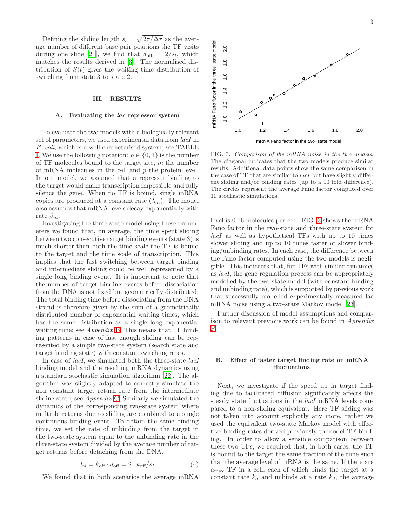Defining the sliding length  $s_l = \sqrt{2\tau/\Delta\tau}$  as the average number of different base pair positions the TF visits during one slide [\[21\]](#page-10-18), we find that  $d_{\text{off}} = 2/s_l$ , which matches the results derived in [\[3](#page-10-1)]. The normalised distribution of  $S(t)$  gives the waiting time distribution of switching from state 3 to state 2.

# III. RESULTS

#### A. Evaluating the lac repressor system

To evaluate the two models with a biologically relevant set of parameters, we used experimental data from *lacI* in E. coli, which is a well characterised system; see TABLE [I.](#page-7-0) We use the following notation:  $b \in \{0, 1\}$  is the number of  $TF$  molecules bound to the target site, m the number of mRNA molecules in the cell and p the protein level. In our model, we assumed that a repressor binding to the target would make transcription impossible and fully silence the gene. When no TF is bound, single mRNA copies are produced at a constant rate  $(\lambda_m)$ . The model also assumes that mRNA levels decay exponentially with rate  $\beta_m$ .

Investigating the three-state model using these parameters we found that, on average, the time spent sliding between two consecutive target binding events (state 3) is much shorter than both the time scale the TF is bound to the target and the time scale of transcription. This implies that the fast switching between target binding and intermediate sliding could be well represented by a single long binding event. It is important to note that the number of target binding events before dissociation from the DNA is not fixed but geometrically distributed. The total binding time before dissociating from the DNA strand is therefore given by the sum of a geometrically distributed number of exponential waiting times, which has the same distribution as a single long exponential waiting time; see Appendix [B.](#page-6-0) This means that TF binding patterns in case of fast enough sliding can be represented by a simple two-state system (search state and target binding state) with constant switching rates.

In case of *lacI*, we simulated both the three-state *lacI* binding model and the resulting mRNA dynamics using a standard stochastic simulation algorithm [\[22](#page-10-19)]. The algorithm was slightly adapted to correctly simulate the non constant target return rate from the intermediate sliding state; see Appendix [C.](#page-7-1) Similarly we simulated the dynamics of the corresponding two-state system where multiple returns due to sliding are combined to a single continuous binding event. To obtain the same binding time, we set the rate of unbinding from the target in the two-state system equal to the unbinding rate in the three-state system divided by the average number of target returns before detaching from the DNA.

$$
k_d = k_{\text{off}} \cdot d_{\text{off}} = 2 \cdot k_{\text{off}} / s_l \tag{4}
$$

We found that in both scenarios the average mRNA

mRNA Fano factor in the three-state model mRNA Fano factor in the three−state model 1.0 1.2 1.4 1.6 1.8 2.0  $\frac{8}{1}$  $1.6$  $1.4$  $1.2$  $\overline{a}$ 1.0 1.2 1.4 1.6 1.8 2.0 mRNA Fano factor in the two−state model FIG. 3. Comparison of the mRNA noise in the two models. The diagonal indicates that the two models produce similar

 $2.0$ 

<span id="page-2-0"></span>results. Additional data points show the same comparison in the case of TF that are similar to *lacI* but have slightly different sliding and/or binding rates (up to a 10 fold difference). The circles represent the average Fano factor computed over 10 stochastic simulations.

level is 0.16 molecules per cell. FIG. [3](#page-2-0) shows the mRNA Fano factor in the two-state and three-state system for lacI as well as hypothetical TFs with up to 10 times slower sliding and up to 10 times faster or slower binding/unbinding rates. In each case, the difference between the Fano factor computed using the two models is negligible. This indicates that, for TFs with similar dynamics as lacI, the gene regulation process can be appropriately modelled by the two-state model (with constant binding and unbinding rate), which is supported by previous work that successfully modelled experimentally measured lac mRNA noise using a two-state Markov model [\[23](#page-10-20)].

Further discussion of model assumptions and comparison to relevant previous work can be found in Appendix [F.](#page-8-0)

## B. Effect of faster target finding rate on mRNA fluctuations

Next, we investigate if the speed up in target finding due to facilitated diffusion significantly affects the steady state fluctuations in the *lacI* mRNA levels compared to a non-sliding equivalent. Here TF sliding was not taken into account explicitly any more, rather we used the equivalent two-state Markov model with effective binding rates derived previously to model TF binding. In order to allow a sensible comparison between these two TFs, we required that, in both cases, the TF is bound to the target the same fraction of the time such that the average level of mRNA is the same. If there are  $a_{\text{max}}$  TF in a cell, each of which binds the target at a constant rate  $k_a$  and unbinds at a rate  $k_d$ , the average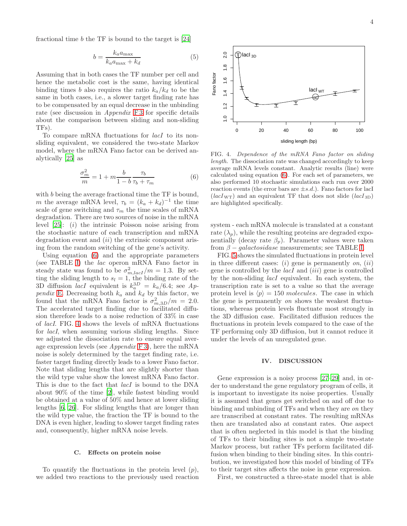fractional time  $b$  the TF is bound to the target is  $[24]$ 

$$
b = \frac{k_a a_{\text{max}}}{k_a a_{\text{max}} + k_d} \tag{5}
$$

Assuming that in both cases the TF number per cell and hence the metabolic cost is the same, having identical binding times b also requires the ratio  $k_a/k_d$  to be the same in both cases, i.e., a slower target finding rate has to be compensated by an equal decrease in the unbinding rate (see discussion in *Appendix* [F 3](#page-9-0) for specific details about the comparison between sliding and non-sliding TFs).

To compare mRNA fluctuations for lacI to its nonsliding equivalent, we considered the two-state Markov model, where the mRNA Fano factor can be derived analytically [\[25\]](#page-10-22) as

<span id="page-3-0"></span>
$$
\frac{\sigma_m^2}{m} = 1 + m \frac{b}{1 - b} \frac{\tau_b}{\tau_b + \tau_m} \tag{6}
$$

with b being the average fractional time the TF is bound, m the average mRNA level,  $\tau_b = (k_a + k_d)^{-1}$  the time scale of gene switching and  $\tau_m$  the time scales of mRNA degradation. There are two sources of noise in the mRNA level  $[25]$ :  $(i)$  the intrinsic Poisson noise arising from the stochastic nature of each transcription and mRNA degradation event and  $(ii)$  the extrinsic component arising from the random switching of the gene's activity.

Using equation [\(6\)](#page-3-0) and the appropriate parameters (see TABLE [I\)](#page-7-0) the lac operon mRNA Fano factor in steady state was found to be  $\sigma_{m,lacI}^2/m = 1.3$ . By setting the sliding length to  $s_l = 1$ , the binding rate of the 3D diffusion *lacI* equivalent is  $k_a^{3D} = k_a/6.4$ ; see Ap-pendix [E.](#page-8-1) Decreasing both  $k_a$  and  $k_d$  by this factor, we found that the mRNA Fano factor is  $\sigma_{m,3D}^2/m = 2.0$ . The accelerated target finding due to facilitated diffusion therefore leads to a noise reduction of 33% in case of lacI. FIG. [4](#page-3-1) shows the levels of mRNA fluctuations for lacI, when assuming various sliding lengths. Since we adjusted the dissociation rate to ensure equal average expression levels (see  $Appendix F3$ ), here the mRNA noise is solely determined by the target finding rate, i.e. faster target finding directly leads to a lower Fano factor. Note that sliding lengths that are slightly shorter than the wild type value show the lowest mRNA Fano factor. This is due to the fact that *lacI* is bound to the DNA about 90% of the time [\[2](#page-10-12)], while fastest binding would be obtained at a value of 50% and hence at lower sliding lengths [\[6,](#page-10-4) [26](#page-10-23)]. For sliding lengths that are longer than the wild type value, the fraction the TF is bound to the DNA is even higher, leading to slower target finding rates and, consequently, higher mRNA noise levels.

# C. Effects on protein noise

To quantify the fluctuations in the protein level  $(p)$ , we added two reactions to the previously used reaction



<span id="page-3-1"></span>FIG. 4. Dependence of the mRNA Fano factor on sliding length. The dissociation rate was changed accordingly to keep average mRNA levels constant. Analytic results (line) were calculated using equation [\(6\)](#page-3-0). For each set of parameters, we also performed 10 stochastic simulations each run over 2000 reaction events (the error bars are  $\pm s.d.$ ). Fano factors for lacI  $(lacI_{\rm WT})$  and an equivalent TF that does not slide  $(lacI_{3D})$ are highlighted specifically.

system - each mRNA molecule is translated at a constant rate  $(\lambda_p)$ , while the resulting proteins are degraded exponentially (decay rate  $\beta_p$ ). Parameter values were taken from  $\beta$  – galactosidase measurements; see TABLE [I.](#page-7-0)

FIG. [5](#page-4-0) shows the simulated fluctuations in protein level in three different cases: (i) gene is permanently on, (ii) gene is controlled by the  $lacI$  and  $(iii)$  gene is controlled by the non-sliding lacI equivalent. In each system, the transcription rate is set to a value so that the average protein level is  $\langle p \rangle = 150$  molecules. The case in which the gene is permanently on shows the weakest fluctuations, whereas protein levels fluctuate most strongly in the 3D diffusion case. Facilitated diffusion reduces the fluctuations in protein levels compared to the case of the TF performing only 3D diffusion, but it cannot reduce it under the levels of an unregulated gene.

## IV. DISCUSSION

Gene expression is a noisy process [\[27](#page-10-24)[–29](#page-10-25)] and, in order to understand the gene regulatory program of cells, it is important to investigate its noise properties. Usually it is assumed that genes get switched on and off due to binding and unbinding of TFs and when they are on they are transcribed at constant rates. The resulting mRNAs then are translated also at constant rates. One aspect that is often neglected in this model is that the binding of TFs to their binding sites is not a simple two-state Markov process, but rather TFs perform facilitated diffusion when binding to their binding sites. In this contribution, we investigated how this model of binding of TFs to their target sites affects the noise in gene expression.

First, we constructed a three-state model that is able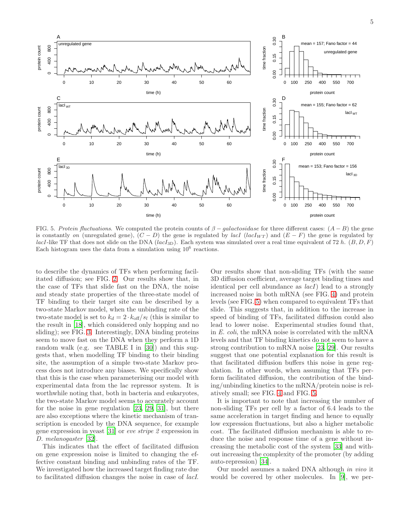5



<span id="page-4-0"></span>FIG. 5. Protein fluctuations. We computed the protein counts of  $\beta$  – galactosidase for three different cases:  $(A - B)$  the gene is constantly on (unregulated gene),  $(C - D)$  the gene is regulated by lacI (lacI<sub>WT</sub>) and  $(E - F)$  the gene is regulated by lacI-like TF that does not slide on the DNA (lacI<sub>3D</sub>). Each system was simulated over a real time equivalent of 72 h.  $(B, D, F)$ Each histogram uses the data from a simulation using  $10^6$  reactions.

to describe the dynamics of TFs when performing facilitated diffusion; see FIG. [2.](#page-1-1) Our results show that, in the case of TFs that slide fast on the DNA, the noise and steady state properties of the three-state model of TF binding to their target site can be described by a two-state Markov model, when the unbinding rate of the two-state model is set to  $k_d = 2 \cdot k_{\text{off}}/s_l$  (this is similar to the result in [\[18](#page-10-15)], which considered only hopping and no sliding); see FIG. [3.](#page-2-0) Interestingly, DNA binding proteins seem to move fast on the DNA when they perform a 1D random walk (e.g. see TABLE I in [\[30\]](#page-10-26)) and this suggests that, when modelling TF binding to their binding site, the assumption of a simple two-state Markov process does not introduce any biases. We specifically show that this is the case when parameterising our model with experimental data from the lac repressor system. It is worthwhile noting that, both in bacteria and eukaryotes, the two-state Markov model seems to accurately account for the noise in gene regulation [\[23,](#page-10-20) [29,](#page-10-25) [31](#page-10-27)], but there are also exceptions where the kinetic mechanism of transcription is encoded by the DNA sequence, for example gene expression in yeast [\[31\]](#page-10-27) or eve stripe 2 expression in D. melanogaster [\[32\]](#page-10-28).

This indicates that the effect of facilitated diffusion on gene expression noise is limited to changing the effective constant binding and unbinding rates of the TF. We investigated how the increased target finding rate due to facilitated diffusion changes the noise in case of lacI.

Our results show that non-sliding TFs (with the same 3D diffusion coefficient, average target binding times and identical per cell abundance as lacI) lead to a strongly increased noise in both mRNA (see FIG. [4\)](#page-3-1) and protein levels (see FIG. [5\)](#page-4-0) when compared to equivalent TFs that slide. This suggests that, in addition to the increase in speed of binding of TFs, facilitated diffusion could also lead to lower noise. Experimental studies found that, in E. coli, the mRNA noise is correlated with the mRNA levels and that TF binding kinetics do not seem to have a strong contribution to mRNA noise [\[23,](#page-10-20) [29\]](#page-10-25). Our results suggest that one potential explanation for this result is that facilitated diffusion buffers this noise in gene regulation. In other words, when assuming that TFs perform facilitated diffusion, the contribution of the binding/unbinding kinetics to the mRNA/protein noise is relatively small; see FIG. [4](#page-3-1) and FIG. [5.](#page-4-0)

It is important to note that increasing the number of non-sliding TFs per cell by a factor of 6.4 leads to the same acceleration in target finding and hence to equally low expression fluctuations, but also a higher metabolic cost. The facilitated diffusion mechanism is able to reduce the noise and response time of a gene without increasing the metabolic cost of the system [\[33\]](#page-10-29) and without increasing the complexity of the promoter (by adding auto-repression) [\[34\]](#page-10-30).

Our model assumes a naked DNA although in vivo it would be covered by other molecules. In [\[9\]](#page-10-6), we per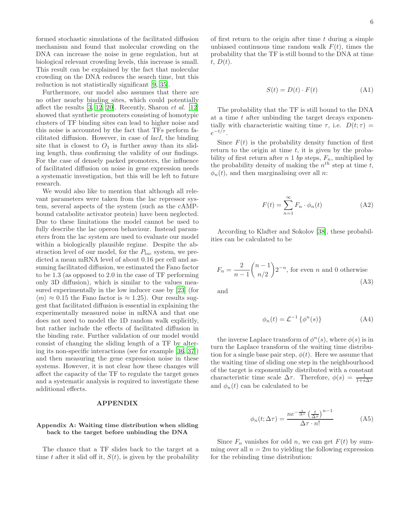formed stochastic simulations of the facilitated diffusion mechanism and found that molecular crowding on the DNA can increase the noise in gene regulation, but at biological relevant crowding levels, this increase is small. This result can be explained by the fact that molecular crowding on the DNA reduces the search time, but this reduction is not statistically significant [\[9,](#page-10-6) [35\]](#page-10-31).

Furthermore, our model also assumes that there are no other nearby binding sites, which could potentially affect the results  $[3, 12, 20]$  $[3, 12, 20]$  $[3, 12, 20]$ . Recently, Sharon *et al.*  $[12]$  $[12]$ showed that synthetic promoters consisting of homotypic clusters of TF binding sites can lead to higher noise and this noise is accounted by the fact that TFs perform facilitated diffusion. However, in case of lacI, the binding site that is closest to  $O_1$  is further away than its sliding length, thus confirming the validity of our findings. For the case of densely packed promoters, the influence of facilitated diffusion on noise in gene expression needs a systematic investigation, but this will be left to future research.

We would also like to mention that although all relevant parameters were taken from the lac repressor system, several aspects of the system (such as the cAMPbound catabolite activator protein) have been neglected. Due to these limitations the model cannot be used to fully describe the lac operon behaviour. Instead parameters from the lac system are used to evaluate our model within a biologically plausible regime. Despite the abstraction level of our model, for the  $P_{lac}$  system, we predicted a mean mRNA level of about 0.16 per cell and assuming facilitated diffusion, we estimated the Fano factor to be 1.3 (as opposed to 2.0 in the case of TF performing only 3D diffusion), which is similar to the values measured experimentally in the low inducer case by [\[23](#page-10-20)] (for  $\langle m \rangle \approx 0.15$  the Fano factor is  $\approx 1.25$ ). Our results suggest that facilitated diffusion is essential in explaining the experimentally measured noise in mRNA and that one does not need to model the 1D random walk explicitly, but rather include the effects of facilitated diffusion in the binding rate. Further validation of our model would consist of changing the sliding length of a TF by altering its non-specific interactions (see for example [\[36,](#page-10-32) [37\]](#page-10-33)) and then measuring the gene expression noise in these systems. However, it is not clear how these changes will affect the capacity of the TF to regulate the target genes and a systematic analysis is required to investigate these additional effects.

## APPENDIX

# <span id="page-5-0"></span>Appendix A: Waiting time distribution when sliding back to the target before unbinding the DNA

The chance that a TF slides back to the target at a time t after it slid off it,  $S(t)$ , is given by the probability

of first return to the origin after time  $t$  during a simple unbiased continuous time random walk  $F(t)$ , times the probability that the TF is still bound to the DNA at time  $t, D(t).$ 

$$
S(t) = D(t) \cdot F(t) \tag{A1}
$$

The probability that the TF is still bound to the DNA at a time  $t$  after unbinding the target decays exponentially with characteristic waiting time  $\tau$ , i.e.  $D(t; \tau) =$  $e^{-t/\tau}$ .

Since  $F(t)$  is the probability density function of first return to the origin at time  $t$ , it is given by the probability of first return after  $n \, 1 \, bp$  steps,  $F_n$ , multiplied by the probability density of making the  $n^{th}$  step at time t,  $\phi_n(t)$ , and then marginalising over all *n*:

$$
F(t) = \sum_{n=1}^{\infty} F_n \cdot \phi_n(t)
$$
 (A2)

According to Klafter and Sokolov [\[38\]](#page-10-34), these probabilities can be calculated to be

$$
F_n = \frac{2}{n-1} \binom{n-1}{n/2} 2^{-n},
$$
 for even *n* and 0 otherwise (A3)

and

$$
\phi_n(t) = \mathcal{L}^{-1}\left\{\phi^n(s)\right\} \tag{A4}
$$

the inverse Laplace transform of  $\phi^n(s)$ , where  $\phi(s)$  is in turn the Laplace transform of the waiting time distribution for a single base pair step,  $\phi(t)$ . Here we assume that the waiting time of sliding one step in the neighbourhood of the target is exponentially distributed with a constant characteristic time scale  $\Delta \tau$ . Therefore,  $\phi(s) = \frac{1}{1+s\Delta \tau}$ and  $\phi_n(t)$  can be calculated to be

$$
\phi_n(t; \Delta \tau) = \frac{ne^{-\frac{t}{\Delta \tau}} \left(\frac{t}{\Delta \tau}\right)^{n-1}}{\Delta \tau \cdot n!}
$$
 (A5)

Since  $F_n$  vanishes for odd n, we can get  $F(t)$  by summing over all  $n = 2m$  to yielding the following expression for the rebinding time distribution: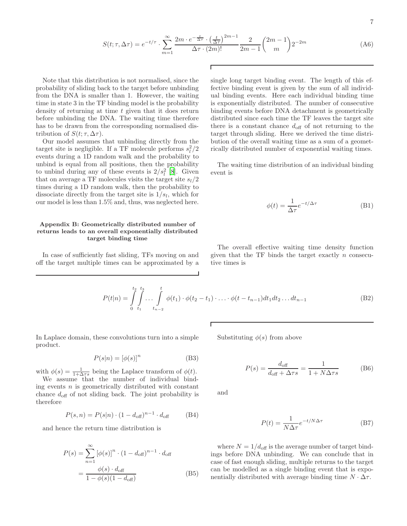$$
S(t; \tau, \Delta \tau) = e^{-t/\tau} \cdot \sum_{m=1}^{\infty} \frac{2m \cdot e^{-\frac{t}{\Delta \tau}} \cdot \left(\frac{t}{\Delta \tau}\right)^{2m-1}}{\Delta \tau \cdot (2m)!} \frac{2}{2m-1} {2m-1 \choose m} 2^{-2m}
$$
(A6)

Г

Note that this distribution is not normalised, since the probability of sliding back to the target before unbinding from the DNA is smaller than 1. However, the waiting time in state 3 in the TF binding model is the probability density of returning at time t given that it does return before unbinding the DNA. The waiting time therefore has to be drawn from the corresponding normalised distribution of  $S(t; \tau, \Delta \tau)$ .

Our model assumes that unbinding directly from the target site is negligible. If a TF molecule performs  $s_l^2/2$ events during a 1D random walk and the probability to unbind is equal from all positions, then the probability to unbind during any of these events is  $2/s_l^2$  [\[8](#page-10-5)]. Given that on average a TF molecules visits the target site  $s_l/2$ times during a 1D random walk, then the probability to dissociate directly from the target site is  $1/s_l$ , which for our model is less than 1.5% and, thus, was neglected here.

# <span id="page-6-0"></span>Appendix B: Geometrically distributed number of returns leads to an overall exponentially distributed target binding time

In case of sufficiently fast sliding, TFs moving on and off the target multiple times can be approximated by a single long target binding event. The length of this effective binding event is given by the sum of all individual binding events. Here each individual binding time is exponentially distributed. The number of consecutive binding events before DNA detachment is geometrically distributed since each time the TF leaves the target site there is a constant chance  $d_{\text{off}}$  of not returning to the target through sliding. Here we derived the time distribution of the overall waiting time as a sum of a geometrically distributed number of exponential waiting times.

The waiting time distribution of an individual binding event is

$$
\phi(t) = \frac{1}{\Delta \tau} e^{-t/\Delta \tau}
$$
 (B1)

The overall effective waiting time density function given that the TF binds the target exactly  $n$  consecutive times is

$$
P(t|n) = \int_{0}^{t_2} \int_{t_1}^{t_3} \ldots \int_{t_{n-2}}^{t} \phi(t_1) \cdot \phi(t_2 - t_1) \cdot \ldots \cdot \phi(t - t_{n-1}) dt_1 dt_2 \ldots dt_{n-1}
$$
 (B2)

In Laplace domain, these convolutions turn into a simple product.

$$
P(s|n) = [\phi(s)]^n
$$
 (B3)

with  $\phi(s) = \frac{1}{1 + \Delta \tau s}$  being the Laplace transform of  $\phi(t)$ .

We assume that the number of individual binding events  $n$  is geometrically distributed with constant chance  $d_{\text{off}}$  of not sliding back. The joint probability is therefore

$$
P(s, n) = P(s|n) \cdot (1 - d_{\text{off}})^{n-1} \cdot d_{\text{off}} \tag{B4}
$$

and hence the return time distribution is

$$
P(s) = \sum_{n=1}^{\infty} \left[ \phi(s) \right]^n \cdot (1 - d_{\text{off}})^{n-1} \cdot d_{\text{off}}
$$

$$
= \frac{\phi(s) \cdot d_{\text{off}}}{1 - \phi(s)(1 - d_{\text{off}})}
$$
(B5)

Substituting  $\phi(s)$  from above

$$
P(s) = \frac{d_{\text{off}}}{d_{\text{off}} + \Delta \tau s} = \frac{1}{1 + N\Delta \tau s}
$$
(B6)

and

$$
P(t) = \frac{1}{N\Delta\tau}e^{-t/N\Delta\tau}
$$
 (B7)

where  $N = 1/d_{\text{off}}$  is the average number of target bindings before DNA unbinding. We can conclude that in case of fast enough sliding, multiple returns to the target can be modelled as a single binding event that is exponentially distributed with average binding time  $N \cdot \Delta \tau$ .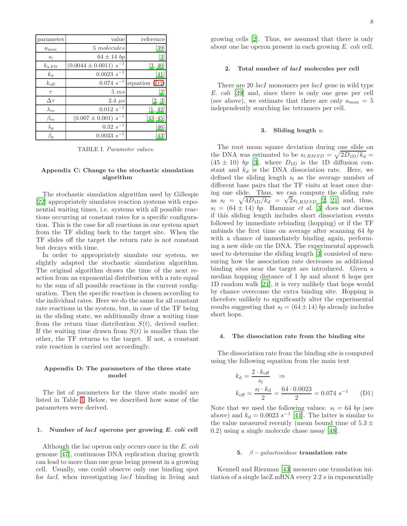| parameter        | value                        | reference         |
|------------------|------------------------------|-------------------|
| $a_{\text{max}}$ | 5 molecules                  | [39]              |
| $S_l$            | $64 \pm 14$ bp               | $\lvert 3 \rvert$ |
| $k_{\rm a,FD}$   | $(0.0044 \pm 0.0011) s^{-1}$ | [3, 40]           |
| $k_{\rm d}$      | $0.0023 s^{-1}$              | 41                |
| $k_{\text{off}}$ | $0.074~s^{-1}$               | equation (D1      |
| $\tau$           | 5ms                          | $\frac{2}{2}$     |
| $\Delta \tau$    | $2.4 \ \mu s$                | [2, 3]            |
| $\lambda_m$      | $0.012 s^{-1}$               | [1, 42]           |
| $\beta_m$        | $(0.007 \pm 0.001) s^{-1}$   | $[43 - 45]$       |
| $\lambda_p$      | $0.32 s^{-1}$                | [46]              |
| $\beta_p$        | $0.0033 s^{-1}$              | 43                |

<span id="page-7-0"></span>TABLE I. Parameter values.

### <span id="page-7-1"></span>Appendix C: Change to the stochastic simulation algorithm

The stochastic simulation algorithm used by Gillespie [\[22\]](#page-10-19) appropriately simulates reaction systems with exponential waiting times, i.e. systems with all possible reactions occurring at constant rates for a specific configuration. This is the case for all reactions in our system apart from the TF sliding back to the target site. When the TF slides off the target the return rate is not constant but decays with time.

In order to appropriately simulate our system, we slightly adapted the stochastic simulation algorithm. The original algorithm draws the time of the next reaction from an exponential distribution with a rate equal to the sum of all possible reactions in the current configuration. Then the specific reaction is chosen according to the individual rates. Here we do the same for all constant rate reactions in the system, but, in case of the TF being in the sliding state, we additionally draw a waiting time from the return time distribution  $S(t)$ , derived earlier. If the waiting time drawn from  $S(t)$  is smaller than the other, the TF returns to the target. If not, a constant rate reaction is carried out accordingly.

## Appendix D: The parameters of the three state model

The list of parameters for the three state model are listed in Table [I.](#page-7-0) Below, we described how some of the parameters were derived.

### 1. Number of lacI operons per growing E. coli cell

Although the lac operon only occurs once in the E. coli genome [\[47\]](#page-10-42), continuous DNA replication during growth can lead to more than one gene being present in a growing cell. Usually, one could observe only one binding spot for *lacI*, when investigating *lacI* binding in living and growing cells [\[2\]](#page-10-12). Thus, we assumed that there is only about one lac operon present in each growing E. coli cell.

## 2. Total number of lacI molecules per cell

There are 20 *lacI* monomers per *lacI* gene in wild type E. coli [\[39](#page-10-35)] and, since there is only one gene per cell (see above), we estimate that there are only  $a_{\text{max}} = 5$ independently searching lac tetramers per cell.

### 3. Sliding length  $s_l$

The root mean square deviation during one slide on the DNA was estimated to be  $s_{l,RMSD} = \sqrt{2D_{1D}/k_d}$  $(45 \pm 10)$  bp [\[3\]](#page-10-1), where  $D_{1D}$  is the 1D diffusion constant and  $k_d$  is the DNA dissociation rate. Here, we defined the sliding length  $s_l$  as the average number of different base pairs that the TF visits at least once during one slide. Thus, we can compute the sliding rate as  $s_l = \sqrt{4D_{1D}/k_d} = \sqrt{2s_{l,RMSD}}$  [\[2,](#page-10-12) [21](#page-10-18)] and, thus,  $s_l = (64 \pm 14)$  bp. Hammar et al. [\[3\]](#page-10-1) does not discuss if this sliding length includes short dissociation events followed by immediate rebinding (hopping) or if the TF unbinds the first time on average after scanning 64 bp with a chance of immediately binding again, performing a new slide on the DNA. The experimental approach used to determine the sliding length [\[3](#page-10-1)] consisted of measuring how the association rate decreases as additional binding sites near the target are introduced. Given a median hopping distance of 1 bp and about 6 hops per 1D random walk [\[21\]](#page-10-18), it is very unlikely that hops would by chance overcome the extra binding site. Hopping is therefore unlikely to significantly alter the experimental results suggesting that  $s_l = (64 \pm 14)$  bp already includes short hops.

#### 4. The dissociation rate from the binding site

The dissociation rate from the binding site is computed using the following equation from the main text

<span id="page-7-2"></span>
$$
k_{\rm d} = \frac{2 \cdot k_{\rm off}}{s_l} \Rightarrow
$$
  

$$
k_{\rm off} = \frac{s_l \cdot k_{\rm d}}{2} = \frac{64 \cdot 0.0023}{2} = 0.074 s^{-1}
$$
 (D1)

Note that we used the following values:  $s_l = 64$  bp (see above) and  $k_d = 0.0023 s^{-1}$  [\[41\]](#page-10-37). The latter is similar to the value measured recently (mean bound time of  $5.3 \pm$ 0.2) using a single molecule chase assay [\[48](#page-10-43)].

## 5.  $\beta$  – galactosidase translation rate

Kennell and Riezman [\[43\]](#page-10-39) measure one translation initiation of a single lacZ mRNA every 2.2 s in exponentially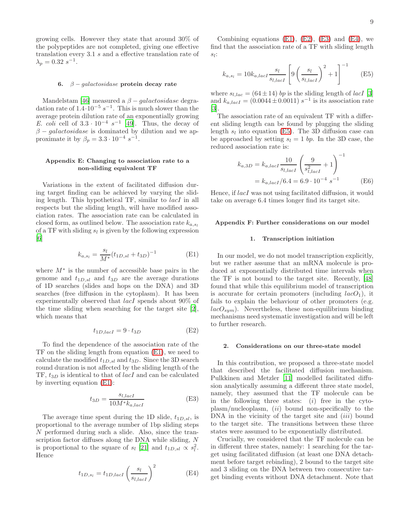growing cells. However they state that around 30% of the polypeptides are not completed, giving one effective translation every 3.1 s and a effective translation rate of  $\lambda_p = 0.32 \, s^{-1}.$ 

### 6.  $\beta$  – galactosidase protein decay rate

Mandelstam [\[46](#page-10-41)] measured a  $\beta$  – galactosidase degradation rate of  $1.4 \cdot 10^{-5} s^{-1}$ . This is much slower than the average protein dilution rate of an exponentially growing E. coli cell of  $3.3 \cdot 10^{-4} s^{-1}$  [\[49](#page-10-44)]. Thus, the decay of  $\beta - galactosidase$  is dominated by dilution and we approximate it by  $\beta_p = 3.3 \cdot 10^{-4} s^{-1}$ .

## <span id="page-8-1"></span>Appendix E: Changing to association rate to a non-sliding equivalent TF

Variations in the extent of facilitated diffusion during target finding can be achieved by varying the sliding length. This hypothetical TF, similar to lacI in all respects but the sliding length, will have modified association rates. The association rate can be calculated in closed form, as outlined below. The association rate  $k_{a,s}$ of a TF with sliding  $s_l$  is given by the following expression  $\lceil 6 \rceil$ 

<span id="page-8-2"></span>
$$
k_{a,s_l} = \frac{s_l}{M^*} (t_{1D,sl} + t_{3D})^{-1}
$$
 (E1)

where  $M^*$  is the number of accessible base pairs in the genome and  $t_{1D,sl}$  and  $t_{3D}$  are the average durations of 1D searches (slides and hops on the DNA) and 3D searches (free diffusion in the cytoplasm). It has been experimentally observed that *lacI* spends about 90% of the time sliding when searching for the target site [\[2\]](#page-10-12), which means that

<span id="page-8-3"></span>
$$
t_{1D,lacI} = 9 \cdot t_{3D} \tag{E2}
$$

To find the dependence of the association rate of the TF on the sliding length from equation [\(E1\)](#page-8-2), we need to calculate the modified  $t_{1D,sl}$  and  $t_{3D}$ . Since the 3D search round duration is not affected by the sliding length of the  $TF, t_{3D}$  is identical to that of *lacI* and can be calculated by inverting equation [\(E1\)](#page-8-2):

<span id="page-8-4"></span>
$$
t_{3D} = \frac{s_{l,lacI}}{10M * k_{a,lacI}}\tag{E3}
$$

The average time spent during the 1D slide,  $t_{1D,sl}$ , is proportional to the average number of 1bp sliding steps N performed during such a slide. Also, since the transcription factor diffuses along the DNA while sliding, N is proportional to the square of  $s_l$  [\[21\]](#page-10-18) and  $t_{1D,sl} \propto s_l^2$ . Hence

<span id="page-8-5"></span>
$$
t_{1D,s_l} = t_{1D,lacI} \left(\frac{s_l}{s_{l,lacI}}\right)^2
$$
 (E4)

Combining equations  $(E1)$ ,  $(E2)$ ,  $(E3)$  and  $(E4)$ , we find that the association rate of a TF with sliding length  $s_l$ :

<span id="page-8-6"></span>
$$
k_{a,s_l} = 10k_{a,lac} \frac{s_l}{s_{l,lac} I} \left[ 9\left(\frac{s_l}{s_{l,lac} I}\right)^2 + 1 \right]^{-1} \tag{E5}
$$

where  $s_{l,lac} = (64 \pm 14)$  bp is the sliding length of *lacI* [\[3](#page-10-1)] and  $k_{a,lacI} = (0.0044 \pm 0.0011) s^{-1}$  is its association rate [\[3\]](#page-10-1).

The association rate of an equivalent TF with a different sliding length can be found by plugging the sliding length  $s_l$  into equation [\(E5\)](#page-8-6). The 3D diffusion case can be approached by setting  $s_l = 1$  bp. In the 3D case, the reduced association rate is:

$$
k_{a,3D} = k_{a,lacI} \frac{10}{s_{l,lacI}} \left(\frac{9}{s_{l,lacI}^2} + 1\right)^{-1}
$$
  
=  $k_{a,lacI}/6.4 = 6.9 \cdot 10^{-4} s^{-1}$  (E6)

Hence, if lacI was not using facilitated diffusion, it would take on average 6.4 times longer find its target site.

### <span id="page-8-0"></span>Appendix F: Further considerations on our model

### 1. Transcription initiation

In our model, we do not model transcription explicitly, but we rather assume that an mRNA molecule is produced at exponentially distributed time intervals when the TF is not bound to the target site. Recently, [\[48](#page-10-43)] found that while this equilibrium model of transcription is accurate for certain promoters (including  $lacO<sub>1</sub>$ ), it fails to explain the behaviour of other promoters (e.g.  $lacO<sub>sum</sub>$ ). Nevertheless, these non-equilibrium binding mechanisms need systematic investigation and will be left to further research.

#### 2. Considerations on our three-state model

In this contribution, we proposed a three-state model that described the facilitated diffusion mechanism. Pulkkinen and Metzler [\[11](#page-10-45)] modelled facilitated diffusion analytically assuming a different three state model, namely, they assumed that the TF molecule can be in the following three states:  $(i)$  free in the cyto $plasm/nucleoplasm, (ii)$  bound non-specifically to the  $DNA$  in the vicinity of the target site and  $(iii)$  bound to the target site. The transitions between these three states were assumed to be exponentially distributed.

Crucially, we considered that the TF molecule can be in different three states, namely: 1 searching for the target using facilitated diffusion (at least one DNA detachment before target rebinding), 2 bound to the target site and 3 sliding on the DNA between two consecutive target binding events without DNA detachment. Note that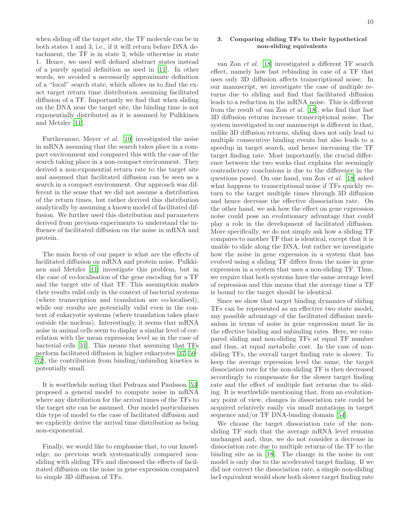when sliding off the target site, the TF molecule can be in both states 1 and 3, i.e., if it will return before DNA detachment, the TF is in state 3, while otherwise in state 1. Hence, we used well defined abstract states instead of a purely spatial definition as used in [\[11](#page-10-45)]. In other words, we avoided a necessarily approximate definition of a "local" search state, which allows us to find the exact target return time distribution assuming facilitated diffusion of a TF. Importantly we find that when sliding on the DNA near the target site, the binding time is not exponentially distributed as it is assumed by Pulkkinen and Metzler [\[11\]](#page-10-45).

Furthermore, Meyer et al. [\[10\]](#page-10-46) investigated the noise in mRNA assuming that the search takes place in a compact environment and compared this with the case of the search taking place in a non-compact environment. They derived a non-exponential return rate to the target site and assumed that facilitated diffusion can be seen as a search in a compact environment. Our approach was different in the sense that we did not assume a distribution of the return times, but rather derived this distribution analytically by assuming a known model of facilitated diffusion. We further used this distribution and parameters derived from previous experiments to understand the influence of facilitated diffusion on the noise in mRNA and protein.

The main focus of our paper is what are the effects of facilitated diffusion on mRNA and protein noise. Pulkkinen and Metzler [\[11\]](#page-10-45) investigate this problem, but in the case of co-localisation of the gene encoding for a TF and the target site of that TF. This assumption makes their results valid only in the context of bacterial systems (where transcription and translation are co-localised), while our results are potentially valid even in the context of eukaryotic systems (where translation takes place outside the nucleus). Interestingly, it seems that mRNA noise in animal cells seem to display a similar level of correlation with the mean expression level as in the case of bacterial cells [\[31\]](#page-10-27). This means that assuming that TFs perform facilitated diffusion in higher eukaryotes [\[37,](#page-10-33) [50](#page-11-0)– [52\]](#page-11-1), the contribution from binding/unbinding kinetics is potentially small.

It is worthwhile noting that Pedraza and Paulsson [\[53](#page-11-2)] proposed a general model to compute noise in mRNA where any distribution for the arrival times of the TFs to the target site can be assumed. Our model particularises this type of model to the case of facilitated diffusion and we explicitly derive the arrival time distribution as being non-exponential.

Finally, we would like to emphasise that, to our knowledge, no previous work systematically compared nonsliding with sliding TFs and discussed the effects of facilitated diffusion on the noise in gene expression compared to simple 3D diffusion of TFs.

# <span id="page-9-0"></span>3. Comparing sliding TFs to their hypothetical non-sliding equivalents

van Zon et al. [\[18](#page-10-15)] investigated a different TF search effect, namely how fast rebinding in case of a TF that uses only 3D diffusion affects transcriptional noise. In our manuscript, we investigate the case of multiple returns due to sliding and find that facilitated diffusion leads to a reduction in the mRNA noise. This is different from the result of van Zon et al. [\[18\]](#page-10-15), who find that fast 3D diffusion returns increase transcriptional noise. The system investigated in our manuscript is different in that, unlike 3D diffusion returns, sliding does not only lead to multiple consecutive binding events but also leads to a speedup in target search, and hence increasing the TF target finding rate. Most importantly, the crucial difference between the two works that explains the seemingly contradictory conclusions is due to the difference in the questions posed. On one hand, van Zon et al. [\[18](#page-10-15)] asked what happens to transcriptional noise if TFs quickly return to the target multiple times through 3D diffusion and hence decrease the effective dissociation rate. On the other hand, we ask how the effect on gene expression noise could pose an evolutionary advantage that could play a role in the development of facilitated diffusion. More specifically, we do not simply ask how a sliding TF compares to another TF that is identical, except that it is unable to slide along the DNA, but rather we investigate how the noise in gene expression in a system that has evolved using a sliding TF differs from the noise in gene expression in a system that uses a non-sliding TF. Thus, we require that both systems have the same average level of repression and this means that the average time a TF is bound to the target should be identical.

Since we show that target binding dynamics of sliding TFs can be represented as an effective two state model, any possible advantage of the facilitated diffusion mechanism in terms of noise in gene expression must lie in the effective binding and unbinding rates. Here, we compared sliding and non-sliding TFs at equal TF number and thus, at equal metabolic cost. In the case of nonsliding TFs, the overall target finding rate is slower. To keep the average repression level the same, the target dissociation rate for the non-sliding TF is then decreased accordingly to compensate for the slower target finding rate and the effect of multiple fast returns due to sliding. It is worthwhile mentioning that, from an evolutionary point of view, changes in dissociation rate could be acquired relatively easily via small mutations in target sequence and/or TF DNA-binding domain [\[54\]](#page-11-3).

We choose the target dissociation rate of the nonsliding TF such that the average mRNA level remains unchanged and, thus, we do not consider a decrease in dissociation rate due to multiple returns of the TF to the binding site as in [\[18](#page-10-15)]. The change in the noise in our model is only due to the accelerated target finding. If we did not correct the dissociation rate, a simple non-sliding lacI equivalent would show both slower target finding rate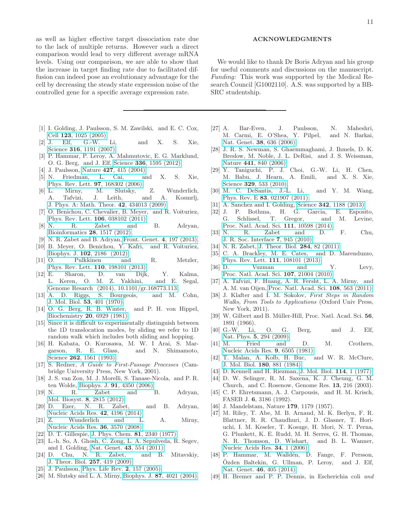as well as higher effective target dissociation rate due to the lack of multiple returns. However such a direct comparison would lead to very different average mRNA levels. Using our comparison, we are able to show that the increase in target finding rate due to facilitated diffusion can indeed pose an evolutionary advantage for the cell by decreasing the steady state expression noise of the controlled gene for a specific average expression rate.

- <span id="page-10-0"></span>[1] I. Golding, J. Paulsson, S. M. Zawilski, and E. C. Cox, Cell 123[, 1025 \(2005\).](http://dx.doi.org/10.1016/j.cell.2005.09.031)
- <span id="page-10-12"></span>[2] J. Elf, G.-W. Li, and X. S. Xie, Science **316**[, 1191 \(2007\).](http://dx.doi.org/10.1126/science.114196)
- <span id="page-10-1"></span>[3] P. Hammar, P. Leroy, A. Mahmutovic, E. G. Marklund, O. G. Berg, and J. Elf, Science 336[, 1595 \(2012\).](http://dx.doi.org/ 10.1126/science.1221648)
- <span id="page-10-2"></span>[4] J. Paulsson, Nature **427**[, 415 \(2004\).](http://dx.doi.org/10.1038/nature02257)
- <span id="page-10-3"></span>[5] N. Friedman, L. Cai, and X. S. Xie, [Phys. Rev. Lett.](http://dx.doi.org/10.1103/PhysRevLett.97.168302) 97, 168302 (2006).
- <span id="page-10-4"></span>[6] L. Mirny, M. Slutsky, Z. Wunderlich, A. Tafvizi, J. Leith, and A. Kosmrlj, [J. Phys. A: Math. Theor.](http://dx.doi.org/ 10.1088/1751-8113/42/43/434013) 42, 434013 (2009).
- <span id="page-10-13"></span>[7] O. Benichou, C. Chevalier, B. Meyer, and R. Voituriez, [Phys. Rev. Lett.](http://dx.doi.org/ 10.1103/PhysRevLett.106.038102) 106, 038102 (2011).
- <span id="page-10-5"></span>[8] N. R. Zabet and B. Adryan, [Bioinformatics](http://dx.doi.org/10.1093/bioinformatics/bts178) 28, 1517 (2012).
- <span id="page-10-6"></span>[9] N. R. Zabet and B. Adryan, [Front. Genet.](http://dx.doi.org/10.3389/fgene.2013.00197) 4, 197 (2013).
- <span id="page-10-46"></span>[10] B. Meyer, O. Benichou, Y. Kafri, and R. Voituriez, Biophys. J. 102[, 2186 \(2012\).](http://dx.doi.org/ 10.1016/j.bpj.2012.03.060)
- <span id="page-10-45"></span>[11] O. Pulkkinen and R. Metzler, [Phys. Rev. Lett.](http://dx.doi.org/10.1103/PhysRevLett.110.198101) 110, 198101 (2013).
- <span id="page-10-7"></span>[12] E. Sharon, D. van Dijk, Y. Kalma, L. Keren, O. M. Z. Yakhini, and E. Segal, [Genome Resarch \(2014\), 10.1101/gr.168773.113.](http://dx.doi.org/ 10.1101/gr.168773.113)
- <span id="page-10-8"></span>[13] A. D. Riggs, S. Bourgeois, and M. Cohn, [J. Mol. Biol.](http://dx.doi.org/10.1016/0022-2836(70)90074-4) 53, 401 (1970).
- <span id="page-10-9"></span>[14] O. G. Berg, R. B. Winter, and P. H. von Hippel, Biochemistry 20[, 6929 \(1981\).](http://dx.doi.org/10.1021/bi00527a028)
- <span id="page-10-10"></span>[15] Since it is difficult to experimentally distinguish between the 1D translocation modes, by sliding we refer to 1D random walk which includes both sliding and hopping.
- <span id="page-10-11"></span>[16] H. Kabata, O. Kurosawa, M. W. I Arai, S. Margarson, R. E. Glass, and N. Shimamoto, Science **262**[, 1561 \(1993\).](http://dx.doi.org/ 10.1126/science.8248804)
- <span id="page-10-14"></span>[17] S. Redner, A Guide to First-Passage Processes (Cambridge University Press, New York, 2001).
- <span id="page-10-15"></span>[18] J. S. van Zon, M. J. Morelli, S. Tanase-Nicola, and P. R. ten Wolde, Biophys. J. 91[, 4350 \(2006\).](http://dx.doi.org/10.1529/biophysj.106.086157)
- <span id="page-10-16"></span>[19] N. R. Zabet and B. Adryan, Mol. Biosyst. 8[, 2815 \(2012\).](http://dx.doi.org/10.1039/C2MB25201E)
- <span id="page-10-17"></span>[20] D. Ezer, N. R. Zabet, and B. Adryan, [Nucleic Acids Res.](http://dx.doi.org/10.1093/nar/gku078) 42, 4196 (2014).
- <span id="page-10-18"></span>[21] Z. Wunderlich and L. A. Mirny, [Nucleic Acids Res.](http://dx.doi.org/10.1093/nar/gkn173) 36, 3570 (2008).
- <span id="page-10-19"></span>[22] D. T. Gillespie, [J. Phys. Chem.](http://dx.doi.org/10.1021/j100540a008) 81, 2340 (1977).
- <span id="page-10-20"></span>[23] L.-h. So, A. Ghosh, C. Zong, L. A. Sepulveda, R. Segev, and I. Golding, Nat. Genet. 43[, 554 \(2011\).](http://dx.doi.org/ 10.1038/ng.821)
- <span id="page-10-21"></span>[24] D. Chu, N. R. Zabet, and B. Mitavskiy, [J. Theor. Biol.](http://dx.doi.org/10.1016/j.jtbi.2008.11.026) 257, 419 (2009).
- <span id="page-10-22"></span>[25] J. Paulsson, [Phys. Life Rev.](http://dx.doi.org/10.1016/j.plrev.2005.03.003) 2, 157 (2005).
- <span id="page-10-23"></span>[26] M. Slutsky and L. A. Mirny, Biophys. J. 87[, 4021 \(2004\).](http://dx.doi.org/10.1529/biophysj.104.050765)

### ACKNOWLEDGMENTS

We would like to thank Dr Boris Adryan and his group for useful comments and discussions on the manuscript. Funding: This work was supported by the Medical Research Council [G1002110]. A.S. was supported by a BB-SRC studentship.

- <span id="page-10-24"></span>[27] A. Bar-Even, J. Paulsson, N. Maheshri, M. Carmi, E. O'Shea, Y. Pilpel, and N. Barkai, Nat. Genet. 38[, 636 \(2006\).](http://dx.doi.org/10.1038/ng1807)
- [28] J. R. S. Newman, S. Ghaemmaghami, J. Ihmels, D. K. Breslow, M. Noble, J. L. DeRisi, and J. S. Weissman, Nature 441[, 840 \(2006\).](http://dx.doi.org/ 10.1038/nature04785)
- <span id="page-10-25"></span>[29] Y. Taniguchi, P. J. Choi, G.-W. Li, H. Chen, M. Babu, J. Hearn, A. Emili, and X. S. Xie, Science 329[, 533 \(2010\).](http://dx.doi.org/10.1126/science.1188308)
- <span id="page-10-26"></span>[30] M. C. DeSantis, J.-L. Li, and Y. M. Wang, Phys. Rev. E 83[, 021907 \(2011\).](http://dx.doi.org/10.1103/PhysRevE.83.021907)
- <span id="page-10-27"></span>[31] A. Sanchez and I. Golding, Science **342**[, 1188 \(2013\).](http://dx.doi.org/10.1126/science.1242975)
- <span id="page-10-28"></span>[32] J. P. Bothma, H. G. Garcia, E. Esposito, G. Schlissel, T. Gregor, and M. Levine, [Proc. Natl. Acad. Sci.](http://dx.doi.org/ 10.1073/pnas.1410022111) 111, 10598 (2014).
- <span id="page-10-29"></span>[33] N. R. Zabet and D. F. Chu, [J. R. Soc. Interface](http://dx.doi.org/10.1098/rsif.2009.0474) 7, 945 (2010).
- <span id="page-10-30"></span>[34] N. R. Zabet, [J. Theor. Biol.](http://dx.doi.org/10.1016/j.jtbi.2011.06.021) 284, 82 (2011).
- <span id="page-10-31"></span>[35] C. A. Brackley, M. E. Cates, and D. Marenduzzo, [Phys. Rev. Lett.](http://dx.doi.org/10.1103/PhysRevLett.111.108101) 111, 108101 (2013).
- <span id="page-10-32"></span>[36] D. Vuzman and Y. Levy, [Proc. Natl. Acad. Sci.](http://dx.doi.org/10.1073/pnas.1011775107) 107, 21004 (2010).
- <span id="page-10-33"></span>[37] A. Tafvizi, F. Huang, A. R. Fersht, L. A. Mirny, and A. M. van Oijen, [Proc. Natl. Acad. Sci.](http://dx.doi.org/ 10.1073/pnas.1016020107) 108, 563 (2011).
- <span id="page-10-34"></span>[38] J. Klafter and I. M. Sokolov, First Steps in Random Walks, From Tools to Applications (Oxford Univ Press, New York, 2011).
- <span id="page-10-35"></span>[39] W. Gilbert and B. Müller-Hill, Proc. Natl. Acad. Sci. 56, 1891 (1966).
- <span id="page-10-36"></span>[40] G.-W. Li, O. G. Berg, and J. Elf, Nat. Phys. 5[, 294 \(2009\).](http://dx.doi.org/ 10.1038/NPHYS1222)
- <span id="page-10-37"></span>[41] M. Fried and D. M. Crothers, [Nucleic Acids Res.](http://dx.doi.org/10.1093/nar/9.23.6505) 9, 6505 (1981).
- <span id="page-10-38"></span>[42] T. Malan, A. Kolb, H. Buc, and W. R. McClure, [J. Mol. Biol.](http://dx.doi.org/ http://dx.doi.org/10.1016/0022-2836(84)90262-6) 180, 881 (1984).
- <span id="page-10-39"></span>[43] D. Kennell and H. Riezman, [J. Mol. Biol.](http://dx.doi.org/http://dx.doi.org/10.1016/0022-2836(77)90279-0) **114**, 1 (1977).
- [44] D. W. Selinger, R. M. Saxena, K. J. Cheung, G. M. Church, and C. Rosenow, Genome Res. 13, 216 (2003).
- <span id="page-10-40"></span>[45] C. P. Ehretsmann, A. J. Carpousis, and H. M. Krisch, FASEB J. 6, 3186 (1992).
- <span id="page-10-41"></span>[46] J. Mandelstam, Nature **179**, 1179 (1957).
- <span id="page-10-42"></span>[47] M. Riley, T. Abe, M. B. Arnaud, M. K. Berlyn, F. R. Blattner, R. R. Chaudhuri, J. D. Glasner, T. Horiuchi, I. M. Keseler, T. Kosuge, H. Mori, N. T. Perna, G. Plunkett, K. E. Rudd, M. H. Serres, G. H. Thomas, N. R. Thomson, D. Wishart, and B. L. Wanner, [Nucleic Acids Res.](http://dx.doi.org/ 10.1093/nar/gkj405) 34, 1 (2006).
- <span id="page-10-43"></span>[48] P. Hammar, M. Walldén, D. Fange, F. Persson,  $\ddot{O}zden$  Baltekin, G. Ullman, P. Leroy, and J. Elf, Nat. Genet. 46[, 405 \(2014\).](http://dx.doi.org/10.1038/ng.2905)
- <span id="page-10-44"></span>[49] H. Bremer and P. P. Dennis, in Escherichia coli and